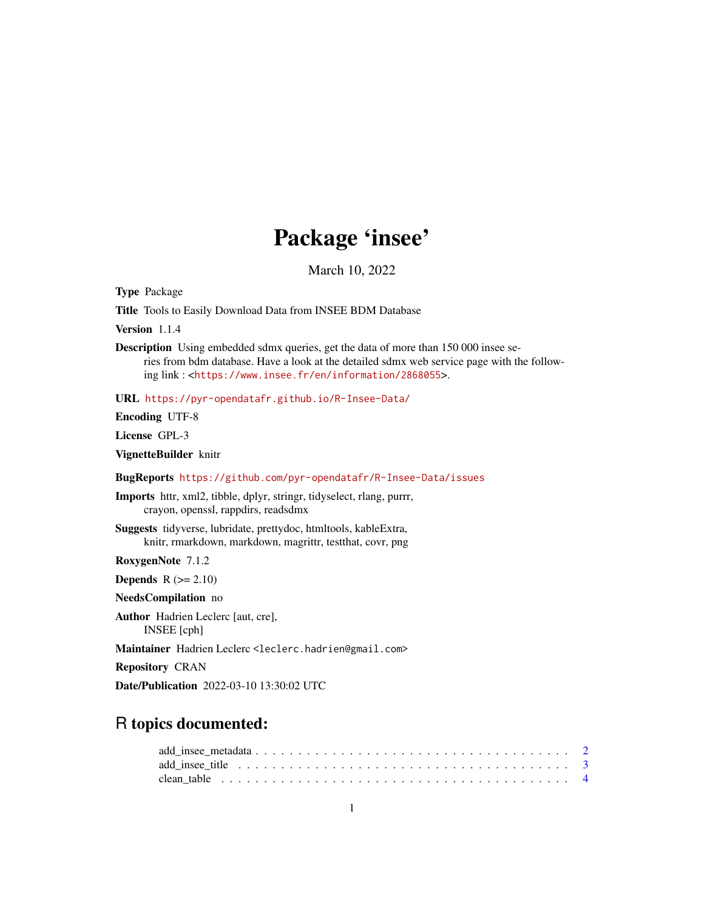# Package 'insee'

March 10, 2022

Type Package

Title Tools to Easily Download Data from INSEE BDM Database

Version 1.1.4

Description Using embedded sdmx queries, get the data of more than 150 000 insee series from bdm database. Have a look at the detailed sdmx web service page with the following link : <<https://www.insee.fr/en/information/2868055>>.

URL <https://pyr-opendatafr.github.io/R-Insee-Data/>

Encoding UTF-8

License GPL-3

VignetteBuilder knitr

BugReports <https://github.com/pyr-opendatafr/R-Insee-Data/issues>

Imports httr, xml2, tibble, dplyr, stringr, tidyselect, rlang, purrr, crayon, openssl, rappdirs, readsdmx

Suggests tidyverse, lubridate, prettydoc, htmltools, kableExtra, knitr, rmarkdown, markdown, magrittr, testthat, covr, png

RoxygenNote 7.1.2

**Depends**  $R$  ( $>= 2.10$ )

NeedsCompilation no

Author Hadrien Leclerc [aut, cre], INSEE [cph]

Maintainer Hadrien Leclerc <leclerc.hadrien@gmail.com>

Repository CRAN

Date/Publication 2022-03-10 13:30:02 UTC

# R topics documented:

| add insee title $\ldots \ldots \ldots \ldots \ldots \ldots \ldots \ldots \ldots \ldots \ldots \ldots$ |  |
|-------------------------------------------------------------------------------------------------------|--|
|                                                                                                       |  |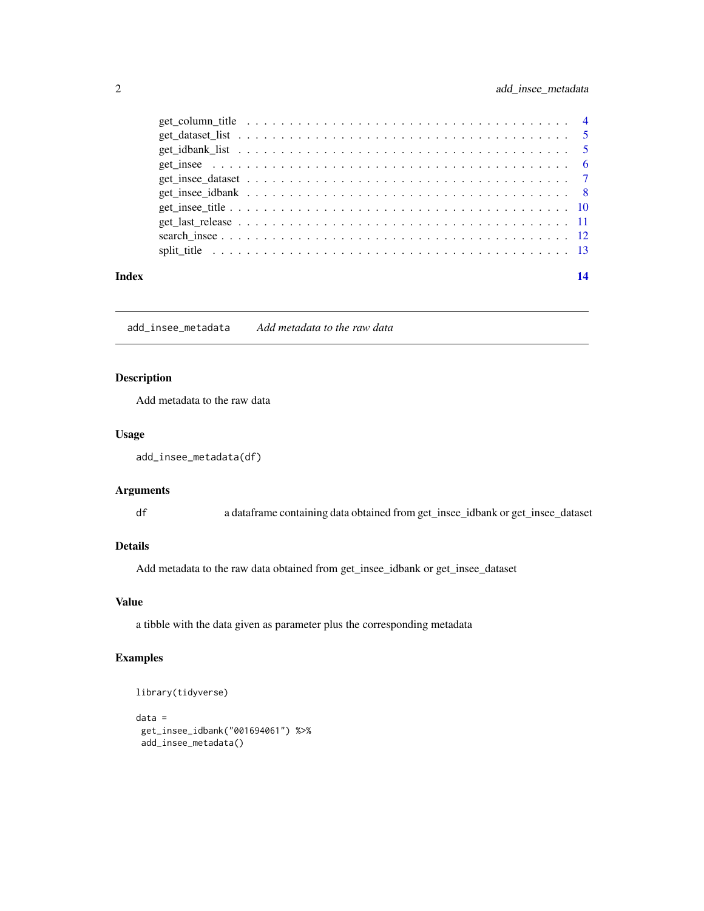# <span id="page-1-0"></span>2 add\_insee\_metadata

| Index | 14 |
|-------|----|

add\_insee\_metadata *Add metadata to the raw data*

# Description

Add metadata to the raw data

#### Usage

```
add_insee_metadata(df)
```
### Arguments

df a dataframe containing data obtained from get\_insee\_idbank or get\_insee\_dataset

# Details

Add metadata to the raw data obtained from get\_insee\_idbank or get\_insee\_dataset

# Value

a tibble with the data given as parameter plus the corresponding metadata

# Examples

```
library(tidyverse)
data =
 get_insee_idbank("001694061") %>%
 add_insee_metadata()
```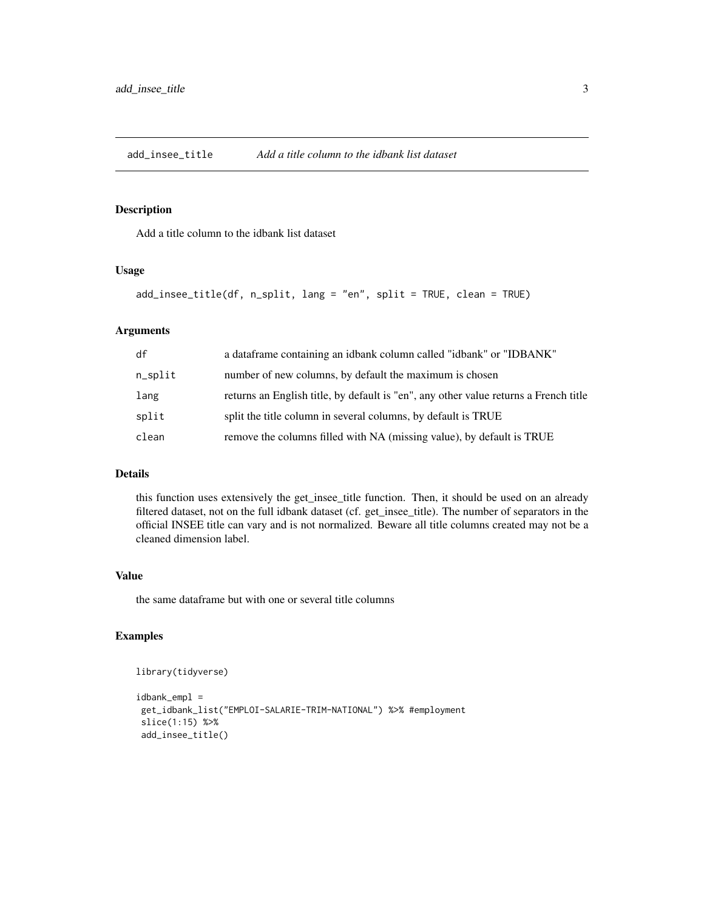<span id="page-2-0"></span>add\_insee\_title *Add a title column to the idbank list dataset*

# Description

Add a title column to the idbank list dataset

#### Usage

```
add_insee_title(df, n_split, lang = "en", split = TRUE, clean = TRUE)
```
# Arguments

| df      | a dataframe containing an idbank column called "idbank" or "IDBANK"                  |
|---------|--------------------------------------------------------------------------------------|
| n_split | number of new columns, by default the maximum is chosen                              |
| lang    | returns an English title, by default is "en", any other value returns a French title |
| split   | split the title column in several columns, by default is TRUE                        |
| clean   | remove the columns filled with NA (missing value), by default is TRUE                |
|         |                                                                                      |

#### Details

this function uses extensively the get\_insee\_title function. Then, it should be used on an already filtered dataset, not on the full idbank dataset (cf. get\_insee\_title). The number of separators in the official INSEE title can vary and is not normalized. Beware all title columns created may not be a cleaned dimension label.

# Value

the same dataframe but with one or several title columns

# Examples

```
library(tidyverse)
```

```
idbank_empl =
get_idbank_list("EMPLOI-SALARIE-TRIM-NATIONAL") %>% #employment
slice(1:15) %>%
add_insee_title()
```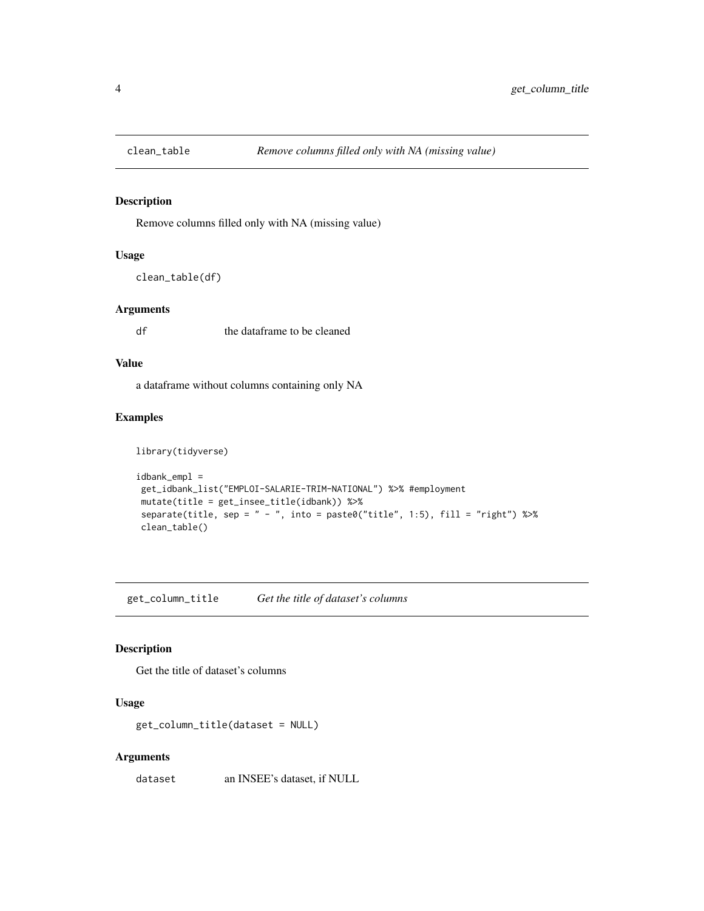<span id="page-3-0"></span>

#### Description

Remove columns filled only with NA (missing value)

# Usage

clean\_table(df)

#### Arguments

df the dataframe to be cleaned

# Value

a dataframe without columns containing only NA

# Examples

```
library(tidyverse)
idbank_empl =get_idbank_list("EMPLOI-SALARIE-TRIM-NATIONAL") %>% #employment
mutate(title = get_insee_title(idbank)) %>%
separate(title, sep = " - ", into = paste0("title", 1:5), fill = "right") %>%
clean_table()
```
get\_column\_title *Get the title of dataset's columns*

### Description

Get the title of dataset's columns

# Usage

get\_column\_title(dataset = NULL)

#### Arguments

dataset an INSEE's dataset, if NULL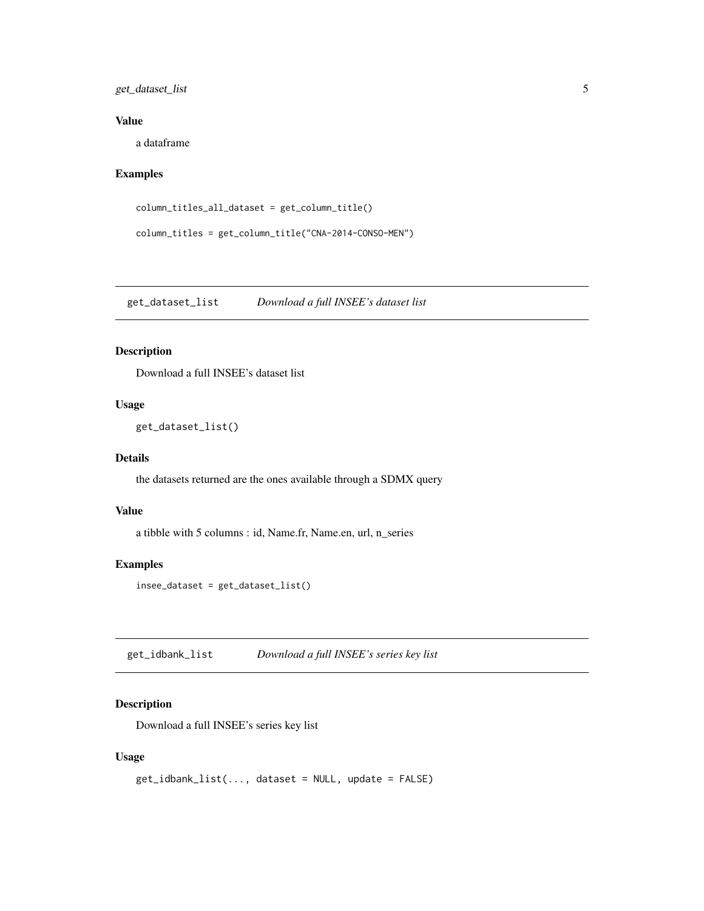# <span id="page-4-0"></span>get\_dataset\_list 5

# Value

a dataframe

# Examples

```
column_titles_all_dataset = get_column_title()
```

```
column_titles = get_column_title("CNA-2014-CONSO-MEN")
```
get\_dataset\_list *Download a full INSEE's dataset list*

# Description

Download a full INSEE's dataset list

# Usage

get\_dataset\_list()

#### Details

the datasets returned are the ones available through a SDMX query

# Value

a tibble with 5 columns : id, Name.fr, Name.en, url, n\_series

# Examples

insee\_dataset = get\_dataset\_list()

get\_idbank\_list *Download a full INSEE's series key list*

# Description

Download a full INSEE's series key list

# Usage

```
get_idbank_list(..., dataset = NULL, update = FALSE)
```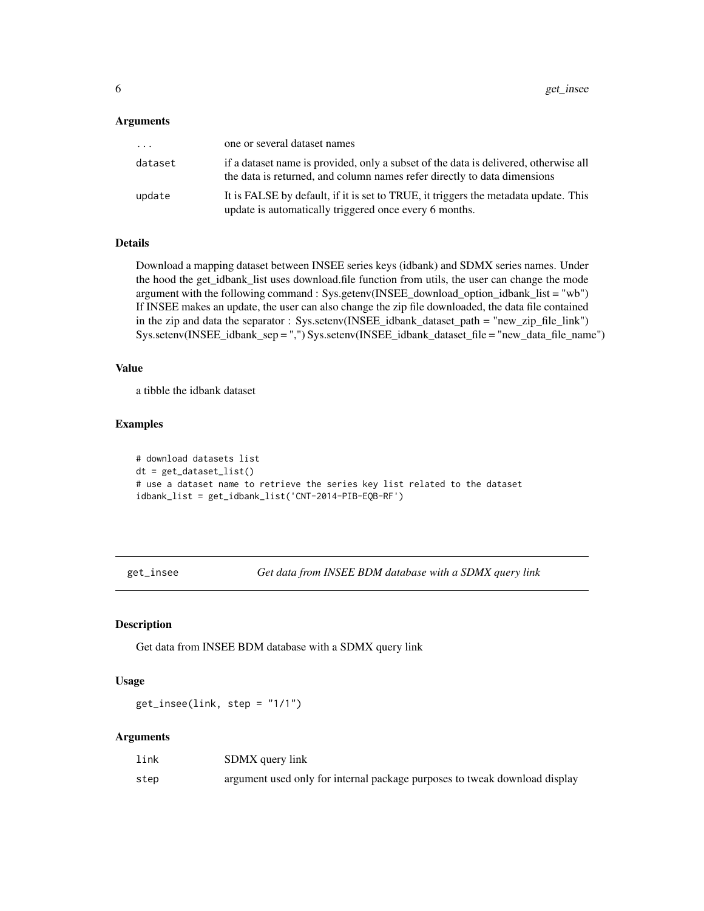#### <span id="page-5-0"></span>**Arguments**

| .       | one or several dataset names                                                                                                                                     |
|---------|------------------------------------------------------------------------------------------------------------------------------------------------------------------|
| dataset | if a dataset name is provided, only a subset of the data is delivered, otherwise all<br>the data is returned, and column names refer directly to data dimensions |
| update  | It is FALSE by default, if it is set to TRUE, it triggers the metadata update. This<br>update is automatically triggered once every 6 months.                    |

#### Details

Download a mapping dataset between INSEE series keys (idbank) and SDMX series names. Under the hood the get\_idbank\_list uses download.file function from utils, the user can change the mode argument with the following command : Sys.getenv(INSEE\_download\_option\_idbank\_list = "wb") If INSEE makes an update, the user can also change the zip file downloaded, the data file contained in the zip and data the separator : Sys.setenv(INSEE\_idbank\_dataset\_path = "new\_zip\_file\_link") Sys.setenv(INSEE\_idbank\_sep = ",") Sys.setenv(INSEE\_idbank\_dataset\_file = "new\_data\_file\_name")

#### Value

a tibble the idbank dataset

# Examples

```
# download datasets list
dt = get_dataset_list()
# use a dataset name to retrieve the series key list related to the dataset
idbank_list = get_idbank_list('CNT-2014-PIB-EQB-RF')
```
get\_insee *Get data from INSEE BDM database with a SDMX query link*

#### Description

Get data from INSEE BDM database with a SDMX query link

#### Usage

get\_insee(link, step = "1/1")

#### Arguments

| link | SDMX query link                                                            |
|------|----------------------------------------------------------------------------|
| step | argument used only for internal package purposes to tweak download display |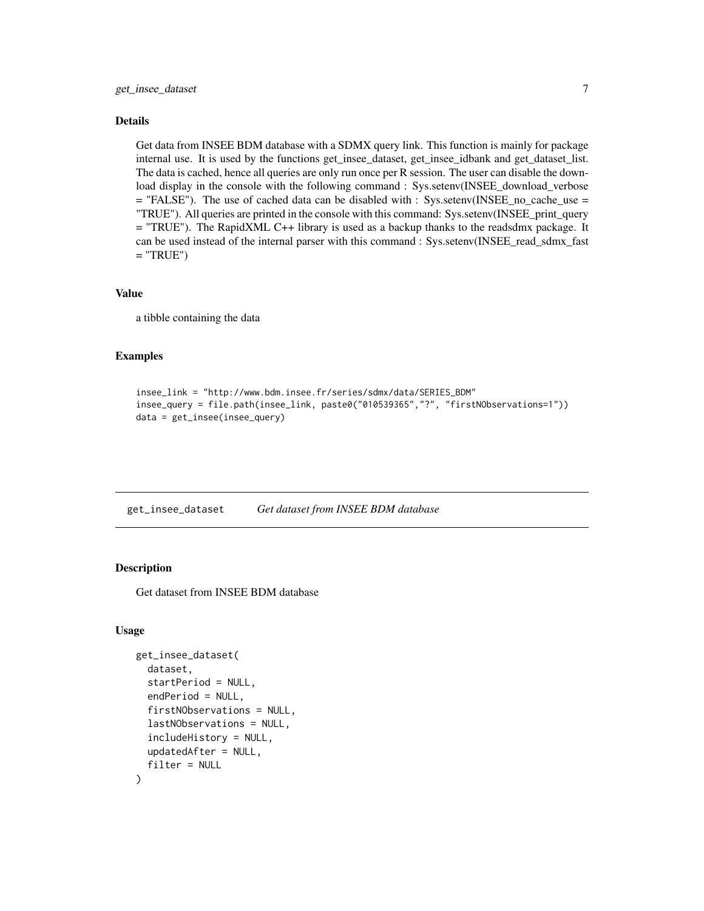#### <span id="page-6-0"></span>Details

Get data from INSEE BDM database with a SDMX query link. This function is mainly for package internal use. It is used by the functions get\_insee\_dataset, get\_insee\_idbank and get\_dataset\_list. The data is cached, hence all queries are only run once per R session. The user can disable the download display in the console with the following command : Sys.setenv(INSEE\_download\_verbose  $=$  "FALSE"). The use of cached data can be disabled with : Sys.setenv(INSEE\_no\_cache\_use  $=$ "TRUE"). All queries are printed in the console with this command: Sys.setenv(INSEE\_print\_query = "TRUE"). The RapidXML C++ library is used as a backup thanks to the readsdmx package. It can be used instead of the internal parser with this command : Sys.setenv(INSEE\_read\_sdmx\_fast  $=$  "TRUE")

#### Value

a tibble containing the data

#### Examples

```
insee_link = "http://www.bdm.insee.fr/series/sdmx/data/SERIES_BDM"
insee_query = file.path(insee_link, paste0("010539365","?", "firstNObservations=1"))
data = get_insee(insee_query)
```
get\_insee\_dataset *Get dataset from INSEE BDM database*

# Description

Get dataset from INSEE BDM database

#### Usage

```
get_insee_dataset(
  dataset,
  startPeriod = NULL,
  endPeriod = NULL,
  firstNObservations = NULL,
  lastNObservations = NULL,
  includeHistory = NULL,
  updatedAfter = NULL,
  filter = NULL
)
```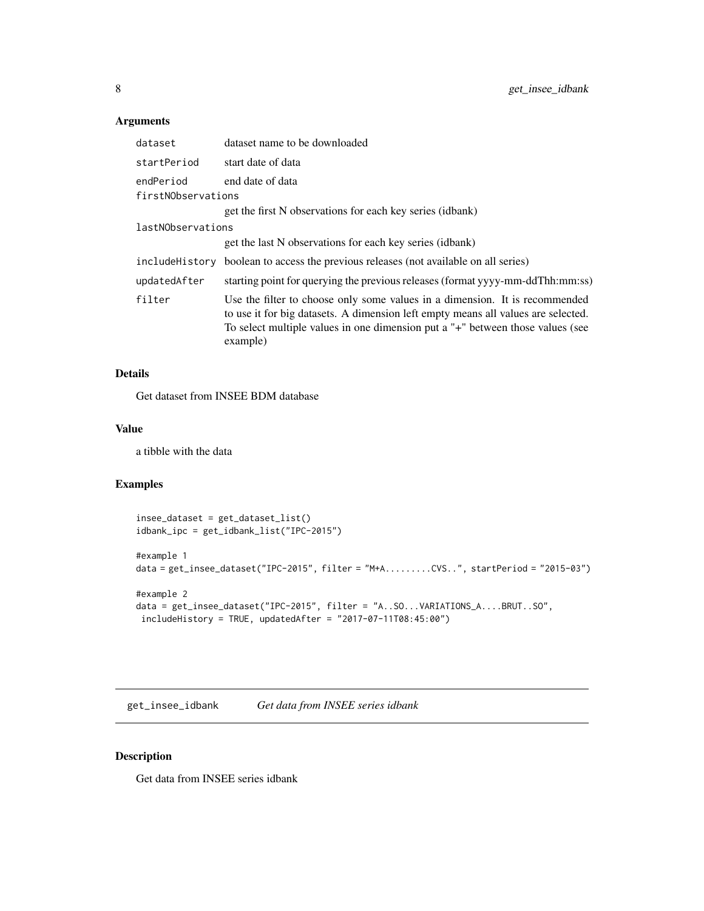# <span id="page-7-0"></span>Arguments

| dataset                         | dataset name to be downloaded                                                                                                                                                                                                                                  |
|---------------------------------|----------------------------------------------------------------------------------------------------------------------------------------------------------------------------------------------------------------------------------------------------------------|
| startPeriod                     | start date of data                                                                                                                                                                                                                                             |
| endPeriod<br>firstNObservations | end date of data                                                                                                                                                                                                                                               |
|                                 | get the first N observations for each key series (idbank)                                                                                                                                                                                                      |
| lastNObservations               |                                                                                                                                                                                                                                                                |
|                                 | get the last N observations for each key series (idbank)                                                                                                                                                                                                       |
|                                 | include History boolean to access the previous releases (not available on all series)                                                                                                                                                                          |
| updatedAfter                    | starting point for querying the previous releases (format yyyy-mm-ddThh:mm:ss)                                                                                                                                                                                 |
| filter                          | Use the filter to choose only some values in a dimension. It is recommended<br>to use it for big datasets. A dimension left empty means all values are selected.<br>To select multiple values in one dimension put a "+" between those values (see<br>example) |

# Details

Get dataset from INSEE BDM database

#### Value

a tibble with the data

# Examples

```
insee_dataset = get_dataset_list()
idbank_ipc = get_idbank_list("IPC-2015")
#example 1
data = get_insee_dataset("IPC-2015", filter = "M+A.........CVS..", startPeriod = "2015-03")
#example 2
data = get_insee_dataset("IPC-2015", filter = "A..SO...VARIATIONS_A....BRUT..SO",
includeHistory = TRUE, updatedAfter = "2017-07-11T08:45:00")
```
get\_insee\_idbank *Get data from INSEE series idbank*

# Description

Get data from INSEE series idbank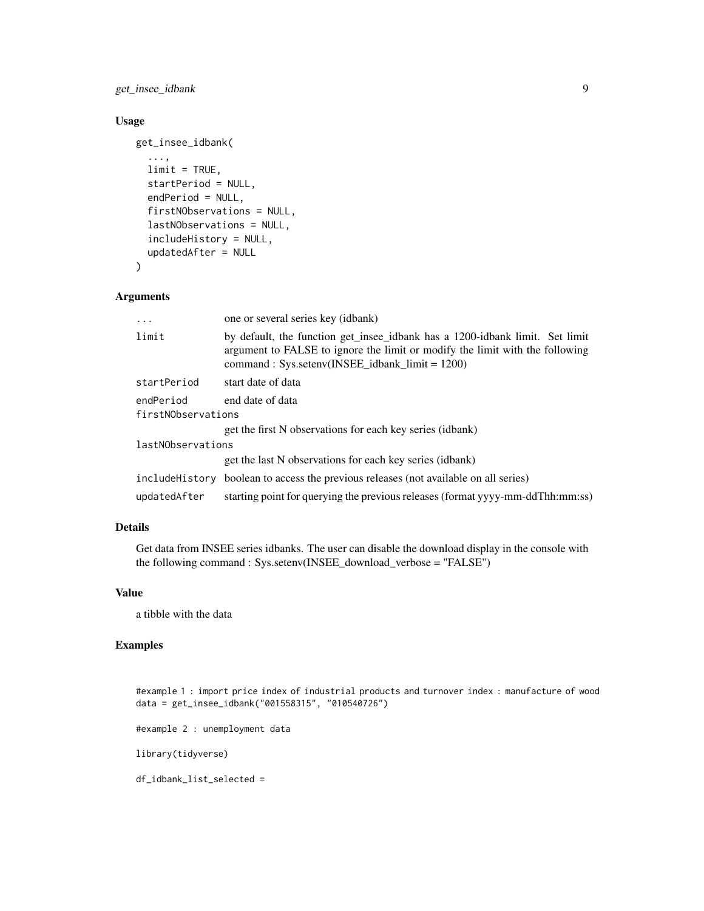get\_insee\_idbank 9

# Usage

```
get_insee_idbank(
  ...,
 limit = TRUE,
 startPeriod = NULL,
  endPeriod = NULL,
  firstNObservations = NULL,
  lastNObservations = NULL,
  includeHistory = NULL,
  updatedAfter = NULL
)
```
#### Arguments

| $\cdots$                        | one or several series key (idbank)                                                                                                                                                                               |
|---------------------------------|------------------------------------------------------------------------------------------------------------------------------------------------------------------------------------------------------------------|
| limit                           | by default, the function get insee idbank has a 1200-idbank limit. Set limit<br>argument to FALSE to ignore the limit or modify the limit with the following<br>$command: Sys.setenv(INSEE_idbank_limit = 1200)$ |
| startPeriod                     | start date of data                                                                                                                                                                                               |
| endPeriod<br>firstNObservations | end date of data                                                                                                                                                                                                 |
|                                 | get the first N observations for each key series (idbank)                                                                                                                                                        |
| lastNObservations               |                                                                                                                                                                                                                  |
|                                 | get the last N observations for each key series (idbank)                                                                                                                                                         |
|                                 | include History boolean to access the previous releases (not available on all series)                                                                                                                            |
| updatedAfter                    | starting point for querying the previous releases (format yyyy-mm-ddThh:mm:ss)                                                                                                                                   |

# Details

Get data from INSEE series idbanks. The user can disable the download display in the console with the following command : Sys.setenv(INSEE\_download\_verbose = "FALSE")

# Value

a tibble with the data

# Examples

#example 1 : import price index of industrial products and turnover index : manufacture of wood data = get\_insee\_idbank("001558315", "010540726")

#example 2 : unemployment data

library(tidyverse)

df\_idbank\_list\_selected =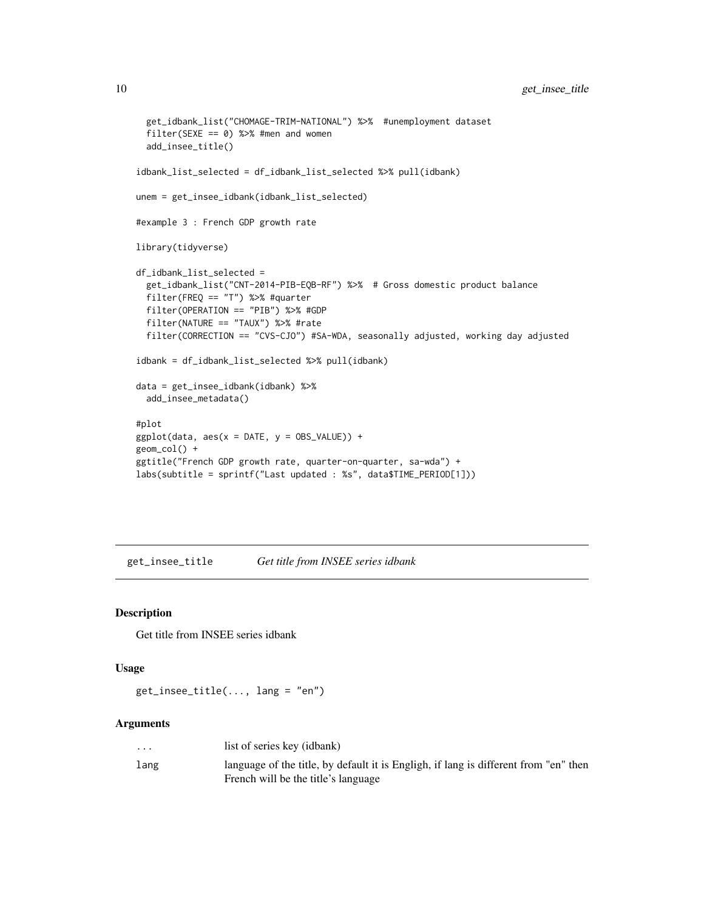```
get_idbank_list("CHOMAGE-TRIM-NATIONAL") %>% #unemployment dataset
  filter(SEXE == 0) %>% #men and women
  add_insee_title()
idbank_list_selected = df_idbank_list_selected %>% pull(idbank)
unem = get_insee_idbank(idbank_list_selected)
#example 3 : French GDP growth rate
library(tidyverse)
df_idbank_list_selected =
  get_idbank_list("CNT-2014-PIB-EQB-RF") %>% # Gross domestic product balance
  filter(FREQ == "T") %>% #quarter
  filter(OPERATION == "PIB") %>% #GDP
  filter(NATURE == "TAUX") %>% #rate
  filter(CORRECTION == "CVS-CJO") #SA-WDA, seasonally adjusted, working day adjusted
idbank = df_idbank_list_selected %>% pull(idbank)
data = get_insee_idbank(idbank) %>%
  add_insee_metadata()
#plot
ggplot(data, aes(x = \text{DATE}, y = \text{OBS_VALUE})) +geom_col() +
ggtitle("French GDP growth rate, quarter-on-quarter, sa-wda") +
labs(subtitle = sprintf("Last updated : %s", data$TIME_PERIOD[1]))
```
get\_insee\_title *Get title from INSEE series idbank*

#### Description

Get title from INSEE series idbank

#### Usage

```
get_insee_title(..., lang = "en")
```
#### Arguments

| $\cdot$ $\cdot$ $\cdot$ | list of series key (idbank)                                                          |
|-------------------------|--------------------------------------------------------------------------------------|
| lang                    | language of the title, by default it is Engligh, if lang is different from "en" then |
|                         | French will be the title's language                                                  |

<span id="page-9-0"></span>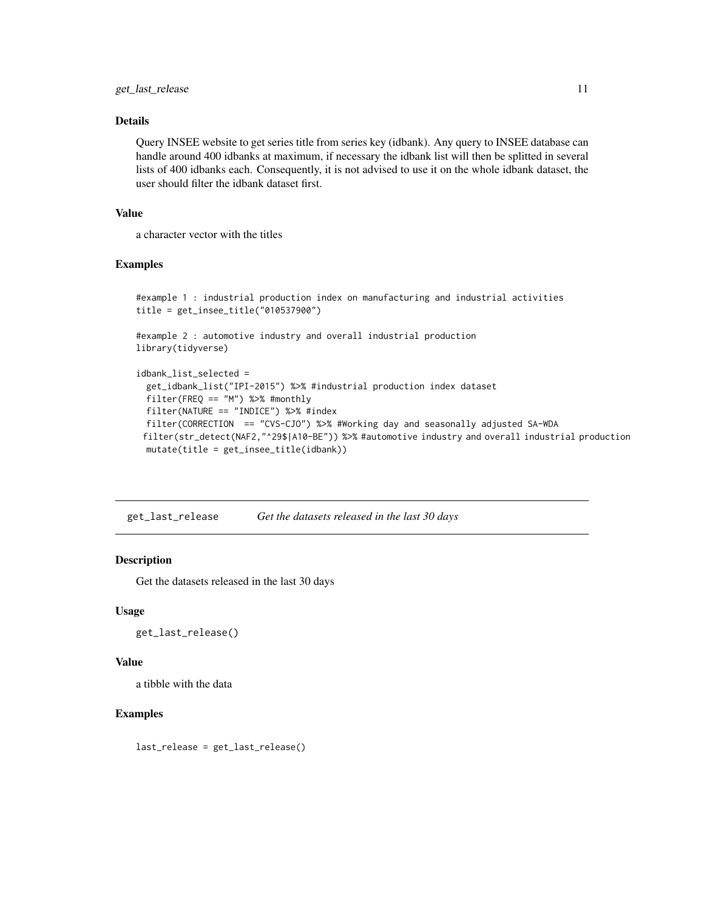### <span id="page-10-0"></span>Details

Query INSEE website to get series title from series key (idbank). Any query to INSEE database can handle around 400 idbanks at maximum, if necessary the idbank list will then be splitted in several lists of 400 idbanks each. Consequently, it is not advised to use it on the whole idbank dataset, the user should filter the idbank dataset first.

# Value

a character vector with the titles

### Examples

```
#example 1 : industrial production index on manufacturing and industrial activities
title = get_insee_title("010537900")
#example 2 : automotive industry and overall industrial production
library(tidyverse)
idbank_list_selected =
 get_idbank_list("IPI-2015") %>% #industrial production index dataset
 filter(FREQ == "M") %>% #monthly
 filter(NATURE == "INDICE") %>% #index
 filter(CORRECTION == "CVS-CJO") %>% #Working day and seasonally adjusted SA-WDA
 filter(str_detect(NAF2,"^29$|A10-BE")) %>% #automotive industry and overall industrial production
 mutate(title = get_insee_title(idbank))
```
get\_last\_release *Get the datasets released in the last 30 days*

#### Description

Get the datasets released in the last 30 days

#### Usage

```
get_last_release()
```
#### Value

a tibble with the data

#### Examples

last\_release = get\_last\_release()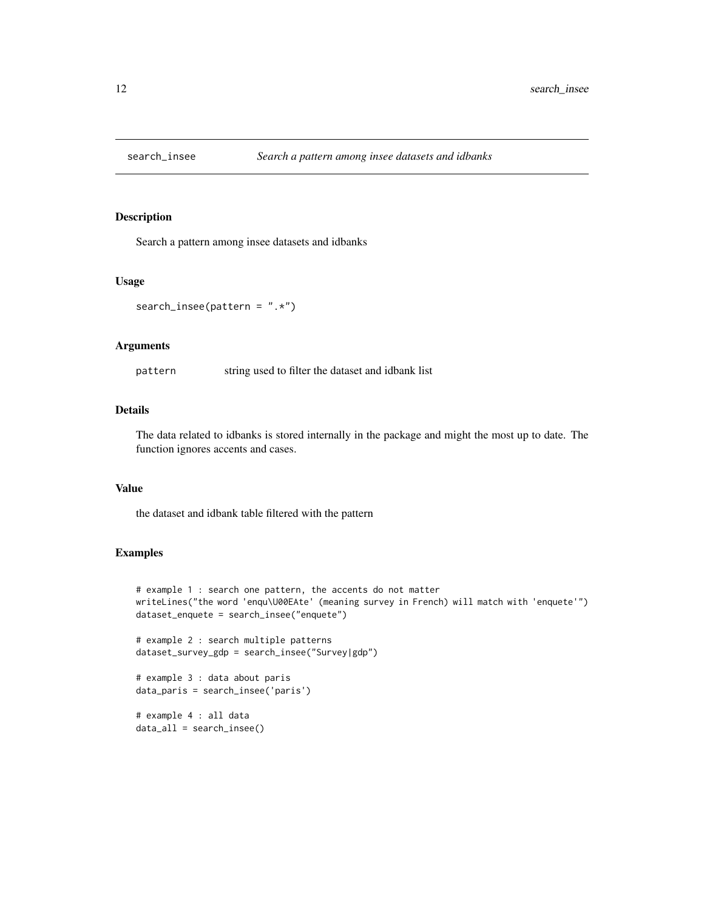<span id="page-11-0"></span>

#### Description

Search a pattern among insee datasets and idbanks

#### Usage

search\_insee(pattern =  $", *")$ 

#### Arguments

pattern string used to filter the dataset and idbank list

# Details

The data related to idbanks is stored internally in the package and might the most up to date. The function ignores accents and cases.

#### Value

the dataset and idbank table filtered with the pattern

#### Examples

```
# example 1 : search one pattern, the accents do not matter
writeLines("the word 'enqu\U00EAte' (meaning survey in French) will match with 'enquete'")
dataset_enquete = search_insee("enquete")
# example 2 : search multiple patterns
dataset_survey_gdp = search_insee("Survey|gdp")
# example 3 : data about paris
data_paris = search_insee('paris')
# example 4 : all data
data_all = search_insee()
```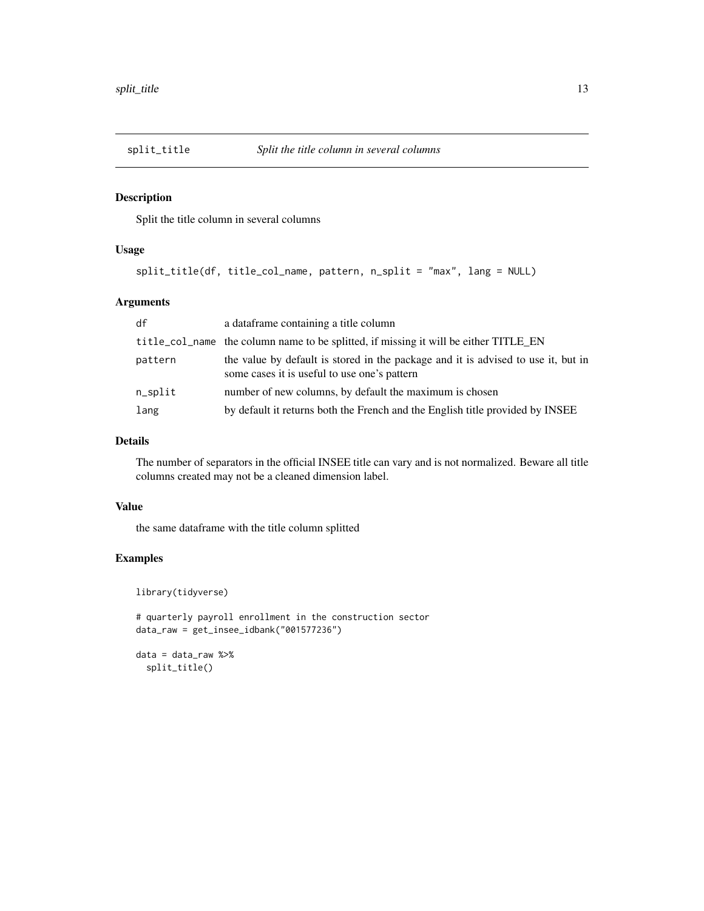<span id="page-12-0"></span>

# Description

Split the title column in several columns

# Usage

```
split_title(df, title_col_name, pattern, n_split = "max", lang = NULL)
```
# Arguments

| df         | a dataframe containing a title column                                                                                             |
|------------|-----------------------------------------------------------------------------------------------------------------------------------|
|            | title_col_name the column name to be splitted, if missing it will be either TITLE_EN                                              |
| pattern    | the value by default is stored in the package and it is advised to use it, but in<br>some cases it is useful to use one's pattern |
| $n$ _split | number of new columns, by default the maximum is chosen                                                                           |
| lang       | by default it returns both the French and the English title provided by INSEE                                                     |

# Details

The number of separators in the official INSEE title can vary and is not normalized. Beware all title columns created may not be a cleaned dimension label.

#### Value

the same dataframe with the title column splitted

#### Examples

```
library(tidyverse)
```
# quarterly payroll enrollment in the construction sector data\_raw = get\_insee\_idbank("001577236")

```
data = data_raw %>%
 split_title()
```